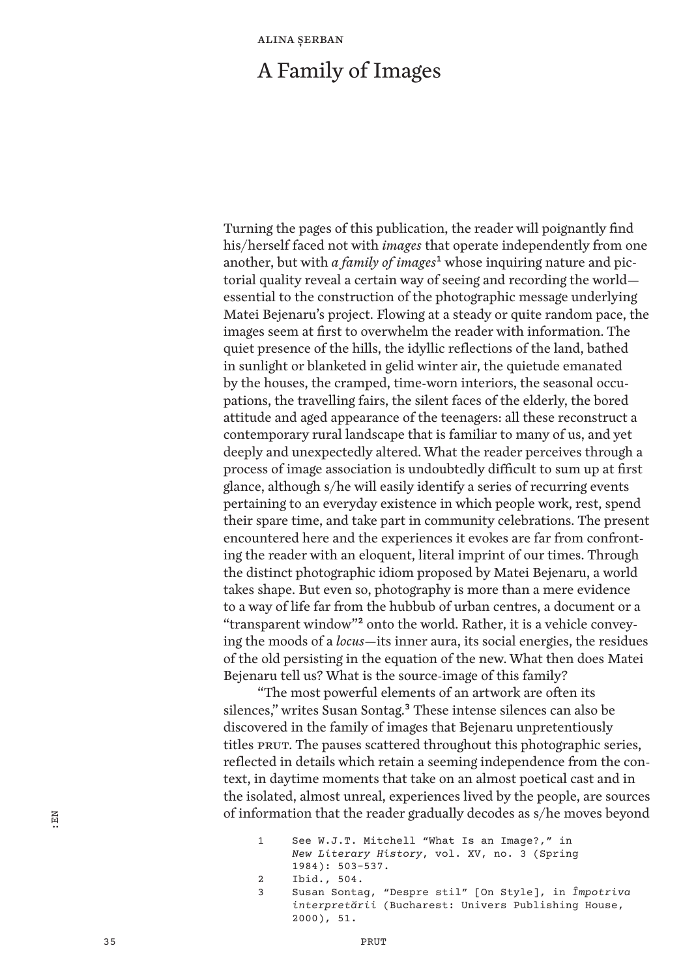## A Family of Images

Turning the pages of this publication, the reader will poignantly find his/herself faced not with *images* that operate independently from one another, but with *a family of images***1** whose inquiring nature and pictorial quality reveal a certain way of seeing and recording the world essential to the construction of the photographic message underlying Matei Bejenaru's project. Flowing at a steady or quite random pace, the images seem at first to overwhelm the reader with information. The quiet presence of the hills, the idyllic reflections of the land, bathed in sunlight or blanketed in gelid winter air, the quietude emanated by the houses, the cramped, time-worn interiors, the seasonal occupations, the travelling fairs, the silent faces of the elderly, the bored attitude and aged appearance of the teenagers: all these reconstruct a contemporary rural landscape that is familiar to many of us, and yet deeply and unexpectedly altered. What the reader perceives through a process of image association is undoubtedly difficult to sum up at first glance, although s/he will easily identify a series of recurring events pertaining to an everyday existence in which people work, rest, spend their spare time, and take part in community celebrations. The present encountered here and the experiences it evokes are far from confronting the reader with an eloquent, literal imprint of our times. Through the distinct photographic idiom proposed by Matei Bejenaru, a world takes shape. But even so, photography is more than a mere evidence to a way of life far from the hubbub of urban centres, a document or a "transparent window"**2** onto the world. Rather, it is a vehicle conveying the moods of a *locus*—its inner aura, its social energies, the residues of the old persisting in the equation of the new. What then does Matei Bejenaru tell us? What is the source-image of this family?

"The most powerful elements of an artwork are often its silences," writes Susan Sontag.**<sup>3</sup>** These intense silences can also be discovered in the family of images that Bejenaru unpretentiously titles PRUT. The pauses scattered throughout this photographic series, reflected in details which retain a seeming independence from the context, in daytime moments that take on an almost poetical cast and in the isolated, almost unreal, experiences lived by the people, are sources of information that the reader gradually decodes as s/he moves beyond

| 1            | See W.J.T. Mitchell "What Is an Image?," in                                                                        |
|--------------|--------------------------------------------------------------------------------------------------------------------|
|              | New Literary History, vol. XV, no. 3 (Spring                                                                       |
|              | $1984$ : 503-537.                                                                                                  |
| <sup>2</sup> | Ibid., 504.                                                                                                        |
| 3            | Susan Sontaq, "Despre stil" [On Style], in <i>Împotriva</i><br>interpretării (Bucharest: Univers Publishing House, |

:EN

<sup>2000), 51.</sup>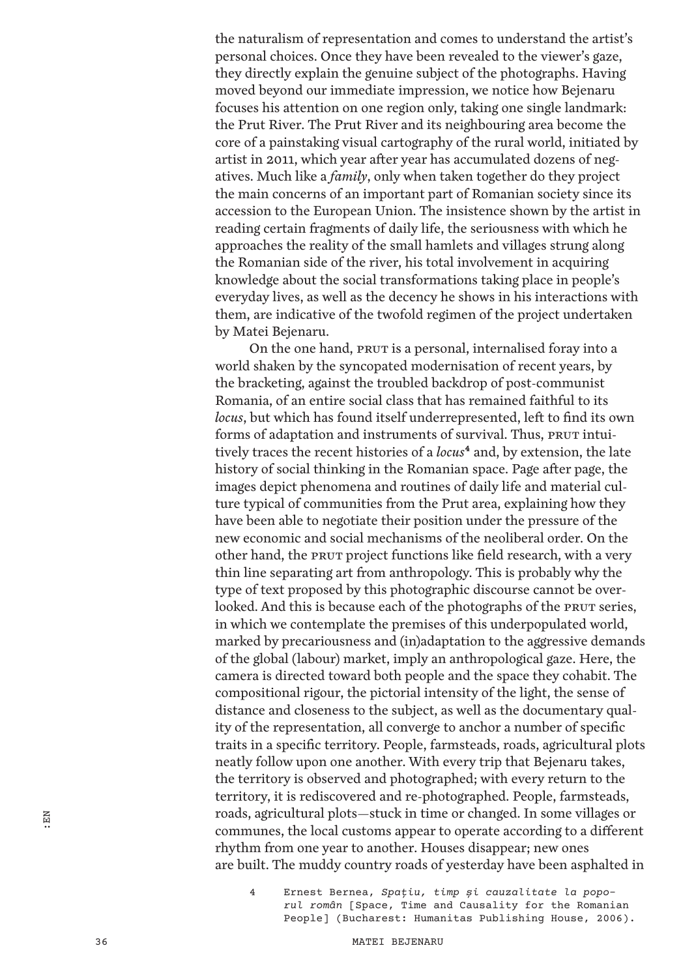the naturalism of representation and comes to understand the artist's personal choices. Once they have been revealed to the viewer's gaze, they directly explain the genuine subject of the photographs. Having moved beyond our immediate impression, we notice how Bejenaru focuses his attention on one region only, taking one single landmark: the Prut River. The Prut River and its neighbouring area become the core of a painstaking visual cartography of the rural world, initiated by artist in 2011, which year after year has accumulated dozens of negatives. Much like a *family*, only when taken together do they project the main concerns of an important part of Romanian society since its accession to the European Union. The insistence shown by the artist in reading certain fragments of daily life, the seriousness with which he approaches the reality of the small hamlets and villages strung along the Romanian side of the river, his total involvement in acquiring knowledge about the social transformations taking place in people's everyday lives, as well as the decency he shows in his interactions with them, are indicative of the twofold regimen of the project undertaken by Matei Bejenaru.

On the one hand, PRUT is a personal, internalised foray into a world shaken by the syncopated modernisation of recent years, by the bracketing, against the troubled backdrop of post-communist Romania, of an entire social class that has remained faithful to its *locus*, but which has found itself underrepresented, left to find its own forms of adaptation and instruments of survival. Thus, PRUT intuitively traces the recent histories of a *locus***<sup>4</sup>** and, by extension, the late history of social thinking in the Romanian space. Page after page, the images depict phenomena and routines of daily life and material culture typical of communities from the Prut area, explaining how they have been able to negotiate their position under the pressure of the new economic and social mechanisms of the neoliberal order. On the other hand, the PRUT project functions like field research, with a very thin line separating art from anthropology. This is probably why the type of text proposed by this photographic discourse cannot be overlooked. And this is because each of the photographs of the PRUT series, in which we contemplate the premises of this underpopulated world, marked by precariousness and (in)adaptation to the aggressive demands of the global (labour) market, imply an anthropological gaze. Here, the camera is directed toward both people and the space they cohabit. The compositional rigour, the pictorial intensity of the light, the sense of distance and closeness to the subject, as well as the documentary quality of the representation, all converge to anchor a number of specific traits in a specific territory. People, farmsteads, roads, agricultural plots neatly follow upon one another. With every trip that Bejenaru takes, the territory is observed and photographed; with every return to the territory, it is rediscovered and re-photographed. People, farmsteads, roads, agricultural plots—stuck in time or changed. In some villages or communes, the local customs appear to operate according to a different rhythm from one year to another. Houses disappear; new ones are built. The muddy country roads of yesterday have been asphalted in

4 Ernest Bernea, *Spaţiu, timp și cauzalitate la poporul român* [Space, Time and Causality for the Romanian People] (Bucharest: Humanitas Publishing House, 2006).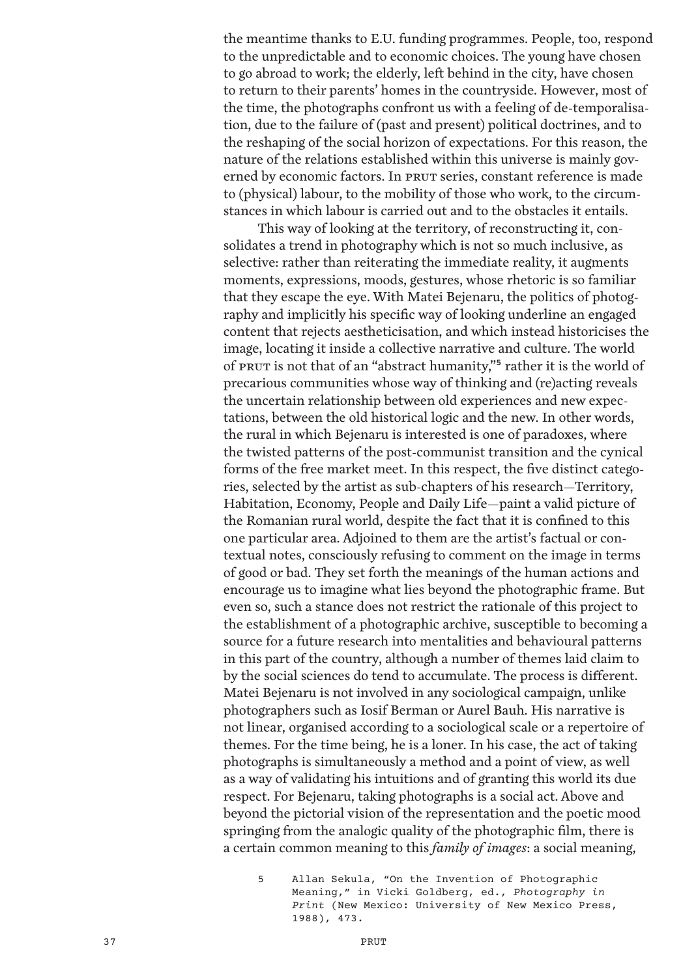the meantime thanks to E.U. funding programmes. People, too, respond to the unpredictable and to economic choices. The young have chosen to go abroad to work; the elderly, left behind in the city, have chosen to return to their parents' homes in the countryside. However, most of the time, the photographs confront us with a feeling of de-temporalisation, due to the failure of (past and present) political doctrines, and to the reshaping of the social horizon of expectations. For this reason, the nature of the relations established within this universe is mainly governed by economic factors. In PRUT series, constant reference is made to (physical) labour, to the mobility of those who work, to the circumstances in which labour is carried out and to the obstacles it entails.

This way of looking at the territory, of reconstructing it, consolidates a trend in photography which is not so much inclusive, as selective: rather than reiterating the immediate reality, it augments moments, expressions, moods, gestures, whose rhetoric is so familiar that they escape the eye. With Matei Bejenaru, the politics of photography and implicitly his specific way of looking underline an engaged content that rejects aestheticisation, and which instead historicises the image, locating it inside a collective narrative and culture. The world of PRUT is not that of an "abstract humanity,"**<sup>5</sup>** rather it is the world of precarious communities whose way of thinking and (re)acting reveals the uncertain relationship between old experiences and new expectations, between the old historical logic and the new. In other words, the rural in which Bejenaru is interested is one of paradoxes, where the twisted patterns of the post-communist transition and the cynical forms of the free market meet. In this respect, the five distinct categories, selected by the artist as sub-chapters of his research—Territory, Habitation, Economy, People and Daily Life—paint a valid picture of the Romanian rural world, despite the fact that it is confined to this one particular area. Adjoined to them are the artist's factual or contextual notes, consciously refusing to comment on the image in terms of good or bad. They set forth the meanings of the human actions and encourage us to imagine what lies beyond the photographic frame. But even so, such a stance does not restrict the rationale of this project to the establishment of a photographic archive, susceptible to becoming a source for a future research into mentalities and behavioural patterns in this part of the country, although a number of themes laid claim to by the social sciences do tend to accumulate. The process is different. Matei Bejenaru is not involved in any sociological campaign, unlike photographers such as Iosif Berman or Aurel Bauh. His narrative is not linear, organised according to a sociological scale or a repertoire of themes. For the time being, he is a loner. In his case, the act of taking photographs is simultaneously a method and a point of view, as well as a way of validating his intuitions and of granting this world its due respect. For Bejenaru, taking photographs is a social act. Above and beyond the pictorial vision of the representation and the poetic mood springing from the analogic quality of the photographic film, there is a certain common meaning to this *family of images*: a social meaning,

5 Allan Sekula, "On the Invention of Photographic Meaning," in Vicki Goldberg, ed., *Photography in Print* (New Mexico: University of New Mexico Press, 1988), 473.